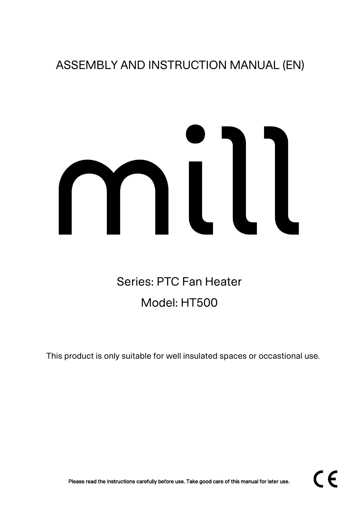## ASSEMBLY AND INSTRUCTION MANUAL (EN)

# 

# Series: PTC Fan Heater Model: HT500

This product is only suitable for well insulated spaces or occastional use.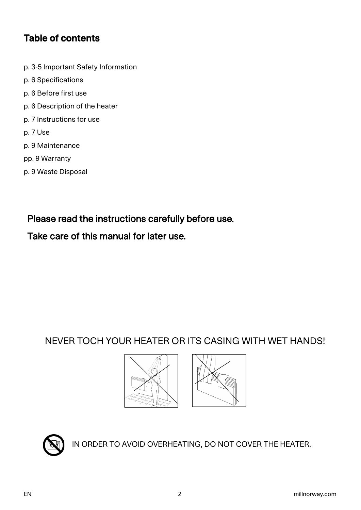#### Table of contents

- p. 3-5 Important Safety Information
- p. 6 Specifications
- p. 6 Before first use
- p. 6 Description of the heater
- p. 7 Instructions for use
- p. 7 Use
- p. 9 Maintenance
- pp. 9 Warranty
- p. 9 Waste Disposal

Please read the instructions carefully before use.

#### Take care of this manual for later use.

#### NEVER TOCH YOUR HEATER OR ITS CASING WITH WET HANDS!







IN ORDER TO AVOID OVERHEATING, DO NOT COVER THE HEATER.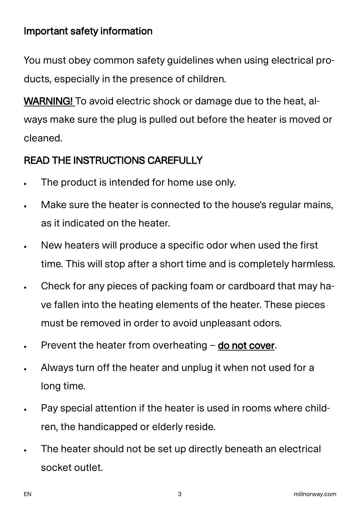## Important safety information

You must obey common safety guidelines when using electrical products, especially in the presence of children.

WARNING! To avoid electric shock or damage due to the heat, always make sure the plug is pulled out before the heater is moved or cleaned.

#### READ THE INSTRUCTIONS CAREFULLY

- The product is intended for home use only.
- Make sure the heater is connected to the house's regular mains, as it indicated on the heater.
- New heaters will produce a specific odor when used the first time. This will stop after a short time and is completely harmless.
- Check for any pieces of packing foam or cardboard that may have fallen into the heating elements of the heater. These pieces must be removed in order to avoid unpleasant odors.
- Prevent the heater from overheating  $-$  do not cover.
- Always turn off the heater and unplug it when not used for a long time.
- Pay special attention if the heater is used in rooms where children, the handicapped or elderly reside.
- The heater should not be set up directly beneath an electrical socket outlet.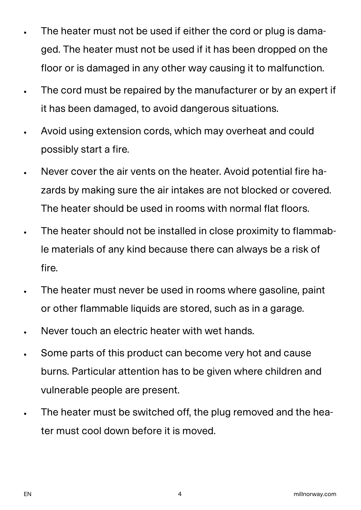- The heater must not be used if either the cord or plug is damaged. The heater must not be used if it has been dropped on the floor or is damaged in any other way causing it to malfunction.
- The cord must be repaired by the manufacturer or by an expert if it has been damaged, to avoid dangerous situations.
- Avoid using extension cords, which may overheat and could possibly start a fire.
- Never cover the air vents on the heater. Avoid potential fire hazards by making sure the air intakes are not blocked or covered. The heater should be used in rooms with normal flat floors.
- The heater should not be installed in close proximity to flammable materials of any kind because there can always be a risk of fire.
- The heater must never be used in rooms where gasoline, paint or other flammable liquids are stored, such as in a garage.
- Never touch an electric heater with wet hands.
- Some parts of this product can become very hot and cause burns. Particular attention has to be given where children and vulnerable people are present.
- The heater must be switched off, the plug removed and the heater must cool down before it is moved.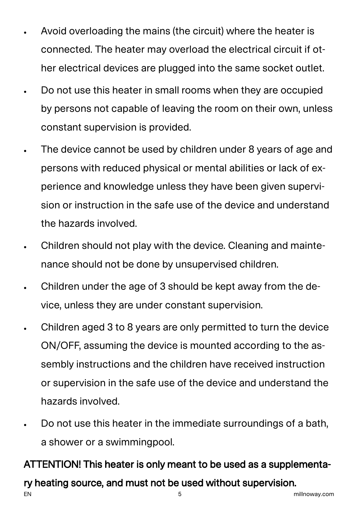- Avoid overloading the mains (the circuit) where the heater is connected. The heater may overload the electrical circuit if other electrical devices are plugged into the same socket outlet.
- Do not use this heater in small rooms when they are occupied by persons not capable of leaving the room on their own, unless constant supervision is provided.
- The device cannot be used by children under 8 years of age and persons with reduced physical or mental abilities or lack of experience and knowledge unless they have been given supervision or instruction in the safe use of the device and understand the hazards involved.
- Children should not play with the device. Cleaning and maintenance should not be done by unsupervised children.
- Children under the age of 3 should be kept away from the device, unless they are under constant supervision.
- Children aged 3 to 8 years are only permitted to turn the device ON/OFF, assuming the device is mounted according to the assembly instructions and the children have received instruction or supervision in the safe use of the device and understand the hazards involved.
- Do not use this heater in the immediate surroundings of a bath, a shower or a swimmingpool.

## ATTENTION! This heater is only meant to be used as a supplementa-

## ry heating source, and must not be used without supervision.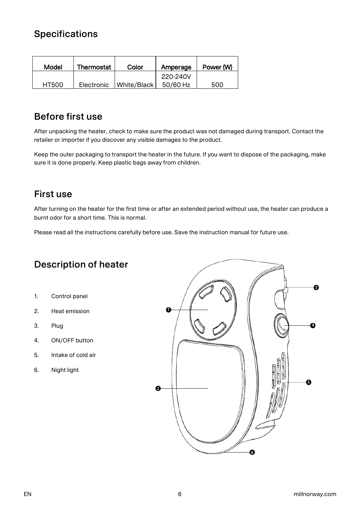#### **Specifications**

| Model        | Thermostat | Color       | Amperage | Power (W) |
|--------------|------------|-------------|----------|-----------|
|              |            |             | 220-240V |           |
| <b>HT500</b> | Electronic | White/Black | 50/60 Hz | 500       |

#### Before first use

After unpacking the heater, check to make sure the product was not damaged during transport. Contact the retailer or importer if you discover any visible damages to the product.

Keep the outer packaging to transport the heater in the future. If you want to dispose of the packaging, make sure it is done properly. Keep plastic bags away from children.

#### First use

After turning on the heater for the first time or after an extended period without use, the heater can produce a burnt odor for a short time. This is normal.

Please read all the instructions carefully before use. Save the instruction manual for future use.

#### Description of heater

- 1. Control panel
- 2. Heat emission
- 3. Plug
- 4. ON/OFF button
- 5. Intake of cold air
- 6. Night light

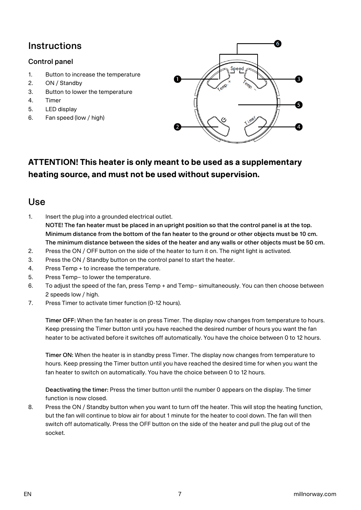#### **Instructions**

#### Control panel

- 1. Button to increase the temperature
- 2. ON / Standby
- 3. Button to lower the temperature
- 4. Timer
- 5. LED display
- 6. Fan speed (low / high)



#### **ATTENTION! This heater is only meant to be used as a supplementary heating source, and must not be used without supervision.**

#### Use

- 1. Insert the plug into a grounded electrical outlet. NOTE! The fan heater must be placed in an upright position so that the control panel is at the top. Minimum distance from the bottom of the fan heater to the ground or other objects must be 10 cm. The minimum distance between the sides of the heater and any walls or other objects must be 50 cm.
- 2. Press the ON / OFF button on the side of the heater to turn it on. The night light is activated.
- 3. Press the ON / Standby button on the control panel to start the heater.
- 4. Press Temp + to increase the temperature.
- 5. Press Temp– to lower the temperature.
- 6. To adjust the speed of the fan, press Temp + and Temp– simultaneously. You can then choose between 2 speeds low / high.
- 7. Press Timer to activate timer function (0-12 hours).

Timer OFF: When the fan heater is on press Timer. The display now changes from temperature to hours. Keep pressing the Timer button until you have reached the desired number of hours you want the fan heater to be activated before it switches off automatically. You have the choice between 0 to 12 hours.

Timer ON: When the heater is in standby press Timer. The display now changes from temperature to hours. Keep pressing the Timer button until you have reached the desired time for when you want the fan heater to switch on automatically. You have the choice between 0 to 12 hours.

Deactivating the timer: Press the timer button until the number 0 appears on the display. The timer function is now closed.

8. Press the ON / Standby button when you want to turn off the heater. This will stop the heating function, but the fan will continue to blow air for about 1 minute for the heater to cool down. The fan will then switch off automatically. Press the OFF button on the side of the heater and pull the plug out of the socket.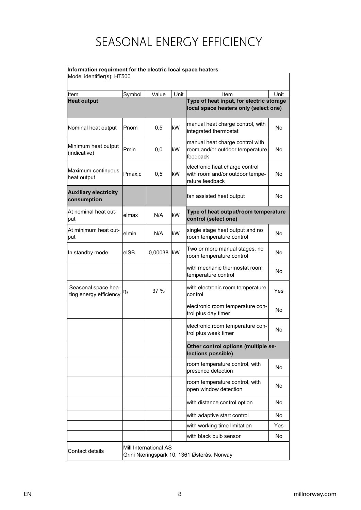## SEASONAL ENERGY EFFICIENCY

#### **Information requirment for the electric local space heaters**

Model identifier(s): HT500

| Item                                          | Symbol                                                              | Value   | Unit | Item                                                                                 | Unit |  |
|-----------------------------------------------|---------------------------------------------------------------------|---------|------|--------------------------------------------------------------------------------------|------|--|
| <b>Heat output</b>                            |                                                                     |         |      | Type of heat input, for electric storage<br>local space heaters only (select one)    |      |  |
| Nominal heat output                           | <b>P</b> nom                                                        | 0,5     | kW   | manual heat charge control, with<br>integrated thermostat                            | No.  |  |
| Minimum heat output<br>(indicative)           | Pmin                                                                | 0,0     | kW   | manual heat charge control with<br>room and/or outdoor temperature<br>feedback       | No.  |  |
| Maximum continuous<br>heat output             | Pmax,c                                                              | 0,5     | kW   | electronic heat charge control<br>with room and/or outdoor tempe-<br>rature feedback | No.  |  |
| <b>Auxiliary electricity</b><br>consumption   |                                                                     |         |      | fan assisted heat output                                                             | No.  |  |
| At nominal heat out-<br>put                   | lelmax                                                              | N/A     | kW   | Type of heat output/room temperature<br>control (select one)                         |      |  |
| At minimum heat out-<br>put                   | elmin                                                               | N/A     | kW   | single stage heat output and no<br>room temperature control                          | No.  |  |
| In standby mode                               | elSB                                                                | 0,00038 | kW   | Two or more manual stages, no<br>room temperature control                            | No   |  |
|                                               |                                                                     |         |      | with mechanic thermostat room<br>temperature control                                 | No   |  |
| Seasonal space hea-<br>ting energy efficiency | η <sub>s</sub>                                                      | 37 %    |      | with electronic room temperature<br>control                                          | Yes  |  |
|                                               |                                                                     |         |      | electronic room temperature con-<br>trol plus day timer                              | No   |  |
|                                               |                                                                     |         |      | electronic room temperature con-<br>trol plus week timer                             | No   |  |
|                                               |                                                                     |         |      | Other control options (multiple se-<br>(lections possible)                           |      |  |
|                                               |                                                                     |         |      | room temperature control, with<br>presence detection                                 | No.  |  |
|                                               |                                                                     |         |      | room temperature control, with<br>open window detection                              | No   |  |
|                                               |                                                                     |         |      | with distance control option                                                         | No.  |  |
|                                               |                                                                     |         |      | with adaptive start control                                                          | No   |  |
|                                               |                                                                     |         |      | with working time limitation                                                         | Yes  |  |
|                                               |                                                                     |         |      | with black bulb sensor                                                               | No   |  |
| Contact details                               | Mill International AS<br>Grini Næringspark 10, 1361 Østerås, Norway |         |      |                                                                                      |      |  |